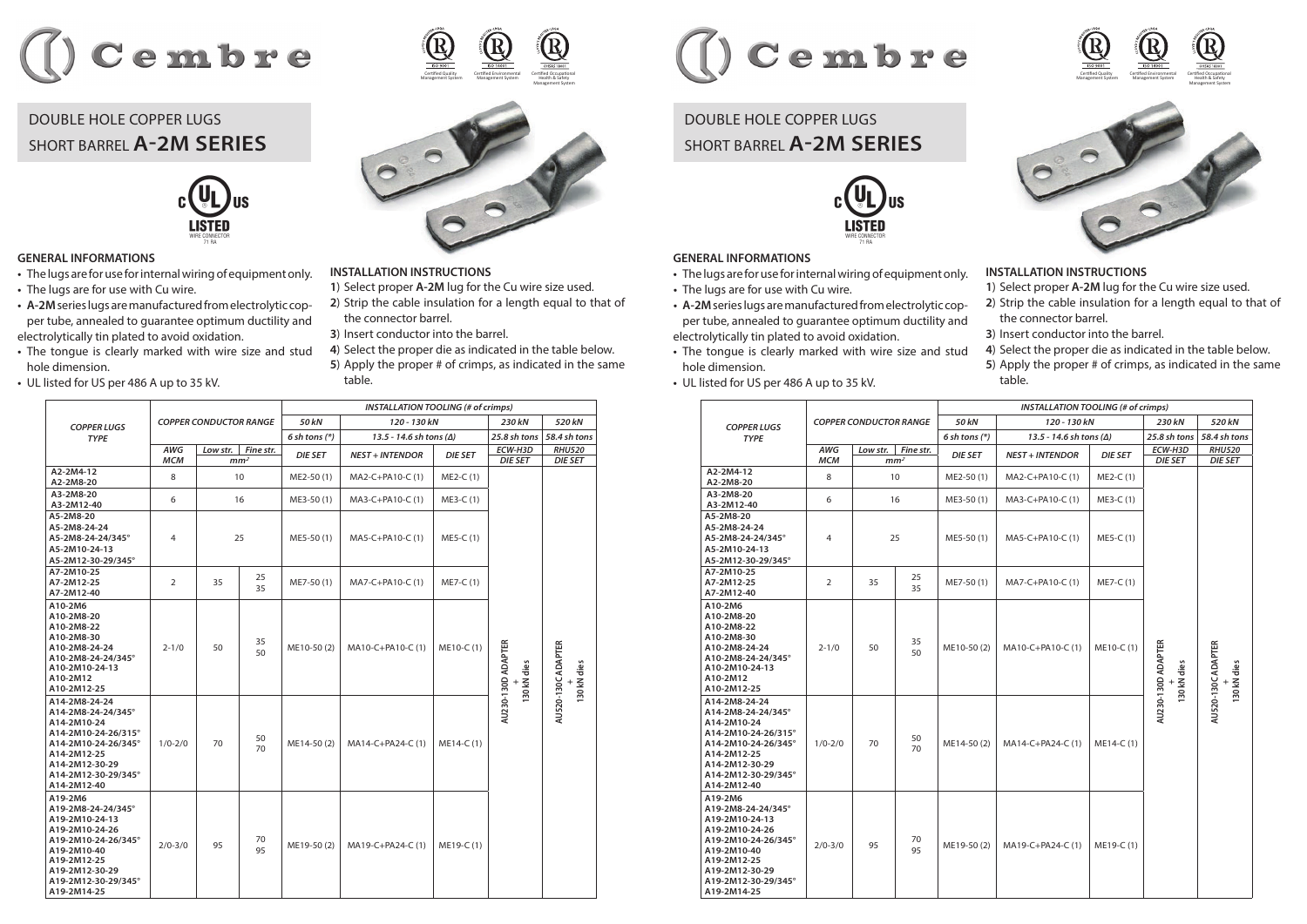

## DOUBLE HOLE COPPER LUGS SHORT BARREL **A2M SERIES**



## **GENERAL INFORMATIONS**

- **•** The lugs are for use for internal wiring of equipment only.
- **•** The lugs are for use with Cu wire.
- **• A-2M**series lugs are manufactured from electrolytic copper tube, annealed to guarantee optimum ductility and electrolytically tin plated to avoid oxidation.
- **•** The tongue is clearly marked with wire size and stud hole dimension.
- **•** UL listed for US per 486 A up to 35 kV.



## **INSTALLATION INSTRUCTIONS**

- **1**) Select proper **A-2M** lug for the Cu wire size used.
- **2**) Strip the cable insulation for a length equal to that of the connector barrel.
- **3**) Insert conductor into the barrel.
- **4**) Select the proper die as indicated in the table below.
- **5**) Apply the proper # of crimps, as indicated in the same table.

|                                                                                                                                                                                | <b>COPPER CONDUCTOR RANGE</b> |          |                 | <b>INSTALLATION TOOLING (# of crimps)</b> |                                    |                |                                   |                                   |  |
|--------------------------------------------------------------------------------------------------------------------------------------------------------------------------------|-------------------------------|----------|-----------------|-------------------------------------------|------------------------------------|----------------|-----------------------------------|-----------------------------------|--|
| <b>COPPER LUGS</b><br><b>TYPE</b>                                                                                                                                              |                               |          |                 | 50 kN                                     | 120 - 130 kN                       |                | 230 kN                            | 520 kN                            |  |
|                                                                                                                                                                                |                               |          |                 | $6$ sh tons $(*)$                         | $13.5 - 14.6$ sh tons ( $\Delta$ ) |                | 25.8 sh tons                      | 58.4 sh tons                      |  |
|                                                                                                                                                                                | <b>AWG</b>                    | Low str. | Fine str.       | <b>DIE SET</b>                            | <b>NEST + INTENDOR</b>             | <b>DIE SET</b> | ECW-H3D                           | <b>RHU520</b>                     |  |
|                                                                                                                                                                                | <b>MCM</b>                    |          | mm <sup>2</sup> |                                           |                                    |                | <b>DIE SET</b>                    | <b>DIE SET</b>                    |  |
| A2-2M4-12<br>A2-2M8-20                                                                                                                                                         | 8                             |          | 10              | ME2-50 (1)                                | MA2-C+PA10-C (1)                   | ME2-C (1)      |                                   |                                   |  |
| A3-2M8-20<br>A3-2M12-40                                                                                                                                                        | 6                             | 16       |                 | ME3-50 (1)                                | MA3-C+PA10-C (1)                   | ME3-C (1)      |                                   |                                   |  |
| A5-2M8-20<br>A5-2M8-24-24<br>A5-2M8-24-24/345°<br>A5-2M10-24-13<br>A5-2M12-30-29/345°                                                                                          | $\overline{4}$                | 25       |                 | ME5-50(1)                                 | MA5-C+PA10-C (1)                   | $ME5-C(1)$     |                                   |                                   |  |
| A7-2M10-25<br>A7-2M12-25<br>A7-2M12-40                                                                                                                                         | $\overline{2}$                | 35       | 25<br>35        | ME7-50(1)                                 | MA7-C+PA10-C (1)                   | ME7-C (1)      |                                   |                                   |  |
| A10-2M6<br>A10-2M8-20<br>A10-2M8-22<br>A10-2M8-30<br>A10-2M8-24-24<br>A10-2M8-24-24/345°<br>A10-2M10-24-13<br>A10-2M12<br>A10-2M12-25                                          | $2 - 1/0$                     | 50       | 35<br>50        | ME10-50(2)                                | MA10-C+PA10-C (1)                  | ME10-C (1)     | AU230-130D ADAPTER<br>130 kN dies | AU520-130C ADAPTER<br>130 kN dies |  |
| A14-2M8-24-24<br>A14-2M8-24-24/345°<br>A14-2M10-24<br>A14-2M10-24-26/315°<br>A14-2M10-24-26/345°<br>A14-2M12-25<br>A14-2M12-30-29<br>A14-2M12-30-29/345°<br>A14-2M12-40        | $1/0 - 2/0$                   | 70       | 50<br>70        | ME14-50 (2)                               | MA14-C+PA24-C (1)                  | $ME14-C(1)$    |                                   |                                   |  |
| A19-2M6<br>A19-2M8-24-24/345°<br>A19-2M10-24-13<br>A19-2M10-24-26<br>A19-2M10-24-26/345°<br>A19-2M10-40<br>A19-2M12-25<br>A19-2M12-30-29<br>A19-2M12-30-29/345°<br>A19-2M14-25 | $2/0 - 3/0$                   | 95       | 70<br>95        | ME19-50 (2)                               | MA19-C+PA24-C (1)                  | ME19-C (1)     |                                   |                                   |  |